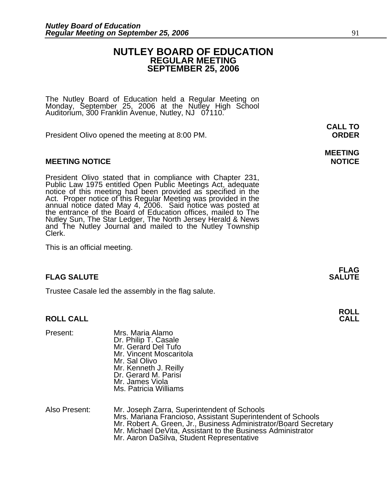### **NUTLEY BOARD OF EDUCATION REGULAR MEETING SEPTEMBER 25, 2006**

**MEETING** 

The Nutley Board of Education held a Regular Meeting on Monday, September 25, 2006 at the Nutley High School Auditorium, 300 Franklin Avenue, Nutley, NJ 07110.

President Olivo opened the meeting at 8:00 PM. **ORDER**

### **MEETING NOTICE NOTICE AND RESERVE ASSESS**

President Olivo stated that in compliance with Chapter 231,<br>Public Law 1975 entitled Open Public Meetings Act, adequate<br>notice of this meeting had been provided as specified in the<br>Act. Proper notice of this Regular Meetin annual notice dated May 4, 2006. Said notice was posted at<br>the entrance of the Board of Education offices, mailed to The Nutley Sun, The Star Ledger, The North Jersey Herald & News and The Nutley Journal and mailed to the Nutley Township Clerk.

This is an official meeting.

### **FLAG SALUTE SALUTE SALUTE**

Trustee Casale led the assembly in the flag salute.

### **ROLL CALL**

| Present: | Mrs. Maria Alamo<br>Dr. Philip T. Casale<br>Mr. Gerard Del Tufo<br>Mr. Vincent Moscaritola<br>Mr. Sal Olivo<br>Mr. Kenneth J. Reilly<br>Dr. Gerard M. Parisi<br>Mr. James Viola |
|----------|---------------------------------------------------------------------------------------------------------------------------------------------------------------------------------|
|          | Ms. Patricia Williams                                                                                                                                                           |

| Also Present: | Mr. Joseph Zarra, Superintendent of Schools                      |
|---------------|------------------------------------------------------------------|
|               | Mrs. Mariana Francioso, Assistant Superintendent of Schools      |
|               | Mr. Robert A. Green, Jr., Business Administrator/Board Secretary |
|               | Mr. Michael DeVita, Assistant to the Business Administrator      |
|               | Mr. Aaron DaSilva, Student Representative                        |

**FLAG** 

**ROLL** 

**CALL TO**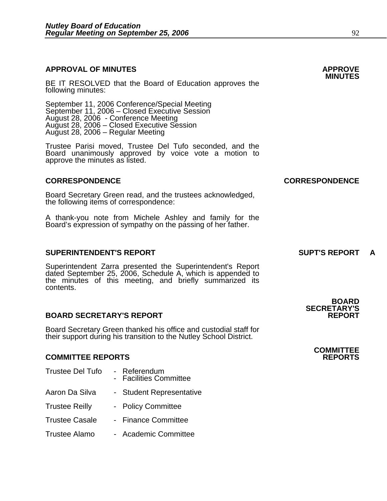# **APPROVAL OF MINUTES APPROVE**

BE IT RESOLVED that the Board of Education approves the following minutes:

September 11, 2006 Conference/Special Meeting<br>September 11, 2006 – Closed Executive Session August 28, 2006 - Conference Meeting August 28, 2006 – Closed Executive Session August 28, 2006 – Regular Meeting

> Trustee Parisi moved, Trustee Del Tufo seconded, and the Board unanimously approved by voice vote a motion to approve the minutes as listed.

### **CORRESPONDENCE CORRESPONDENCE**

Board Secretary Green read, and the trustees acknowledged, the following items of correspondence:

A thank-you note from Michele Ashley and family for the Board's expression of sympathy on the passing of her father.

### **SUPERINTENDENT'S REPORT SUPT'S REPORT A**

Superintendent Zarra presented the Superintendent's Report dated September 25, 2006, Schedule A, which is appended to the minutes of this meeting, and briefly summarized its contents.

### **BOARD SECRETARY'S REPORT**

Board Secretary Green thanked his office and custodial staff for their support during his transition to the Nutley School District.

### **COMMITTEE REPORTS REPORTS**

Trustee Del Tufo - Referendum - Facilities Committee Aaron Da Silva - Student Representative Trustee Reilly - Policy Committee Trustee Casale - Finance Committee Trustee Alamo - Academic Committee

**SECRETARY'S** 

**BOARD** 

# **COMMITTEE**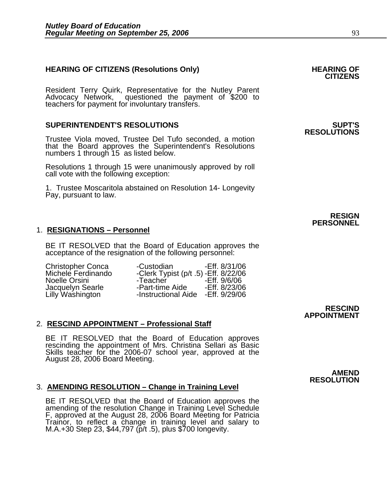# **HEARING OF CITIZENS (Resolutions Only) HEARING OF CITIZENS**

Resident Terry Quirk, Representative for the Nutley Parent Advocacy Network, questioned the payment of \$200 to teachers for payment for involuntary transfers.

### **SUPERINTENDENT'S RESOLUTIONS SUPT'S**

Trustee Viola moved, Trustee Del Tufo seconded, a motion that the Board approves the Superintendent's Resolutions numbers 1 through 15 as listed below.

Resolutions 1 through 15 were unanimously approved by roll call vote with the following exception:

1. Trustee Moscaritola abstained on Resolution 14- Longevity Pay, pursuant to law.

### 1. **RESIGNATIONS – Personnel**

BE IT RESOLVED that the Board of Education approves the acceptance of the resignation of the following personnel:

| Christopher Conca                    | -Custodian                            | -Eff. 8/31/06 |
|--------------------------------------|---------------------------------------|---------------|
| Michele Ferdinando                   | -Clerk Typist (p/t .5) - Eff. 8/22/06 |               |
| Noelle Orsini                        | -Teacher                              | -Eff. 9/6/06  |
|                                      | -Part-time Aide                       | -Eff. 8/23/06 |
|                                      | -Instructional Aide                   | -Eff. 9/29/06 |
| Jacquelyn Searle<br>Lilly Washington |                                       |               |

### 2. **RESCIND APPOINTMENT – Professional Staff**

BE IT RESOLVED that the Board of Education approves rescinding the appointment of Mrs. Christina Sellari as Basic Skills teacher for the 2006-07 school year, approved at the August 28, 2006 Board Meeting.

### 3. **AMENDING RESOLUTION – Change in Training Level**

BE IT RESOLVED that the Board of Education approves the amending of the resolution Change in Training Level Schedule F, approved at the August 28, 2006 Board Meeting for Patricia Trainor, to reflect a change in training level and salary to M.A.+30 Step 23, \$44,797 (p/t .5), plus \$700 longevity.

# **RESOLUTIONS**

### **RESIGN PERSONNEL**

### **RESCIND APPOINTMENT**

### **AMEND RESOLUTION**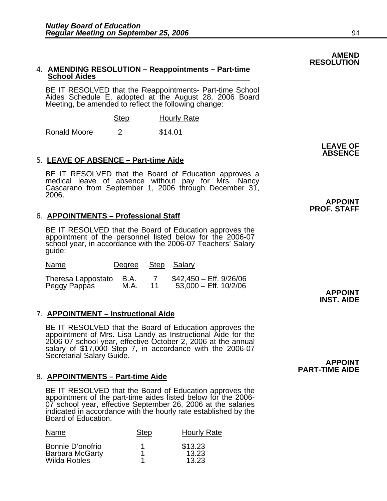### 4. **AMENDING RESOLUTION – Reappointments – Part-time School Aides**

BE IT RESOLVED that the Reappointments- Part-time School Aides Schedule E, adopted at the August 28, 2006 Board Meeting, be amended to reflect the following change:

| <b>Step</b> | <b>Hourly Rate</b> |
|-------------|--------------------|
|-------------|--------------------|

Ronald Moore 2 \$14.01

## 5. **LEAVE OF ABSENCE – Part-time Aide**

BE IT RESOLVED that the Board of Education approves a medical leave of absence without pay for Mrs. Nancy Cascarano from September 1, 2006 through December 31, 2006.

## 6. **APPOINTMENTS – Professional Staff**

BE IT RESOLVED that the Board of Education approves the appointment of the personnel listed below for the 2006-07 school year, in accordance with the 2006-07 Teachers' Salary quide:

| Name               | Degree Step Salary |    |                           |
|--------------------|--------------------|----|---------------------------|
| Theresa Lappostato | - B.A.             | 11 | $$42,450 - Eff. 9/26/06$  |
| Peggy Pappas       | M.A.               |    | $53,000 -$ Eff. $10/2/06$ |

## 7. **APPOINTMENT – Instructional Aide**

BE IT RESOLVED that the Board of Education approves the appointment of Mrs. Lisa Landy as Instructional Aide for the 2006-07 school year, effective October 2, 2006 at the annual salary of \$17,000 Step 7, in accordance with the 2006-07 Secretarial Salary Guide. **APPOINT** 

## 8. **APPOINTMENTS – Part-time Aide**

BE IT RESOLVED that the Board of Education approves the appointment of the part-time aides listed below for the 2006-07 school year, effective September 26, 2006 at the salaries indicated in accordance with the hourly rate established by the Board of Education.

| Name                                                              | <b>Step</b> | <b>Hourly Rate</b>        |
|-------------------------------------------------------------------|-------------|---------------------------|
| Bonnie D'onofrio<br><b>Barbara McGarty</b><br><b>Wilda Robles</b> |             | \$13.23<br>13.23<br>13.23 |

**INST. AIDE** 

**APPOINT** 

# **PART-TIME AIDE**

**AMEND** 

**RESOLUTION** 

## **LEAVE OF ABSENCE**

**APPOINT PROF. STAFF**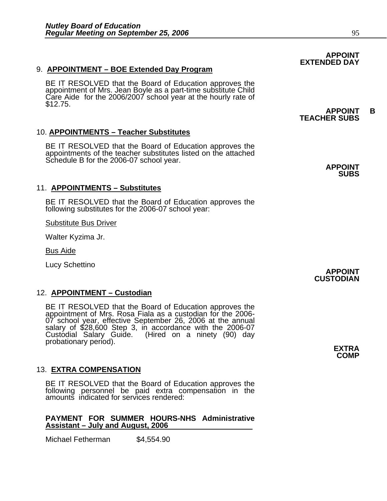### 9. **APPOINTMENT – BOE Extended Day Program**

BE IT RESOLVED that the Board of Education approves the appointment of Mrs. Jean Boyle as a part-time substitute Child Care Aide for the 2006/2007 school year at the hourly rate of \$12.75.

### 10. **APPOINTMENTS – Teacher Substitutes**

BE IT RESOLVED that the Board of Education approves the appointments of the teacher substitutes listed on the attached Schedule B for the 2006-07 school year.<br> **APPOINT** 

### 11. **APPOINTMENTS – Substitutes**

BE IT RESOLVED that the Board of Education approves the following substitutes for the 2006-07 school year:

Substitute Bus Driver

Walter Kyzima Jr.

Bus Aide

Lucy Schettino **APPOINT** 

### 12. **APPOINTMENT – Custodian**

BE IT RESOLVED that the Board of Education approves the appointment of Mrs. Rosa Fiala as a custodian for the 2006-07 school year, effective September 26, 2006 at the annual 07 school year, effective September 26, 2006 at the annual salary of \$28,600 Step 3, in accordance with the 2006-07 Custodial Salary Guide. (Hired on a ninety (90) day probationary period). **EXTRA** 

### 13. **EXTRA COMPENSATION**

BE IT RESOLVED that the Board of Education approves the following personnel be paid extra compensation in the amounts indicated for services rendered:

### **PAYMENT FOR SUMMER HOURS-NHS Administrative Assistant – July and August, 2006**

Michael Fetherman \$4,554.90

### **APPOINT EXTENDED DAY**

### **APPOINT B TEACHER SUBS**

 **SUBS** 

**CUSTODIAN** 

**COMP**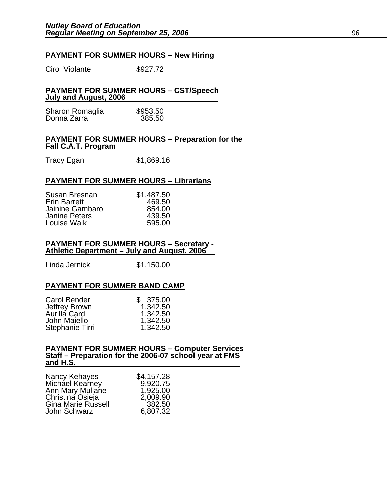### **PAYMENT FOR SUMMER HOURS – New Hiring**

Ciro Violante \$927.72

### **PAYMENT FOR SUMMER HOURS – CST/Speech July and August, 2006**

| Sharon Romaglia | \$953.50 |
|-----------------|----------|
| Donna Zarra     | 385.50   |

### **PAYMENT FOR SUMMER HOURS – Preparation for the Fall C.A.T. Program**

Tracy Egan \$1,869.16

### **PAYMENT FOR SUMMER HOURS – Librarians**

| Susan Bresnan<br><b>Erin Barrett</b><br>Jainine Gambaro<br><b>Janine Peters</b> | \$1,487.50<br>469.50<br>854.00<br>439.50 |
|---------------------------------------------------------------------------------|------------------------------------------|
|                                                                                 |                                          |
| Louise Walk                                                                     | 595.00                                   |

### **PAYMENT FOR SUMMER HOURS – Secretary - Athletic Department – July and August, 2006**

Linda Jernick \$1,150.00

### **PAYMENT FOR SUMMER BAND CAMP**

| Carol Bender<br>Jeffrey Brown<br>Aurilla Card<br>John Maiello | \$375.00<br>1,342.50<br>1,342.50<br>1,342.50 |
|---------------------------------------------------------------|----------------------------------------------|
|                                                               |                                              |
| Stephanie Tirri                                               | 1,342.50                                     |

## **PAYMENT FOR SUMMER HOURS – Computer Services Staff – Preparation for the 2006-07 school year at FMS and H.S.**

| Nancy Kehayes      | \$4,157.28 |
|--------------------|------------|
| Michael Kearney    | 9,920.75   |
| Ann Mary Mullane   | 1,925.00   |
| Christina Osieja   | 2,009.90   |
| Gina Marie Russell | 382.50     |
| John Schwarz       | 6,807.32   |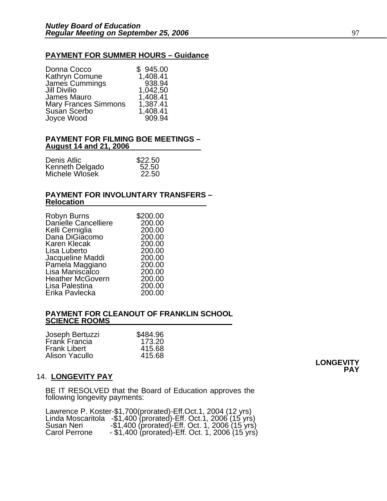### **PAYMENT FOR SUMMER HOURS – Guidance**

| Donna Cocco                 | \$945.00 |
|-----------------------------|----------|
| Kathryn Comune              | 1,408.41 |
| James Cummings              | 938.94   |
| <b>Jill Divilio</b>         | 1,042,50 |
| <b>James Mauro</b>          | 1,408.41 |
| <b>Mary Frances Simmons</b> | 1,387.41 |
| Susan Scerbo                | 1,408.41 |
| Joyce Wood                  | 909.94   |
|                             |          |

### **PAYMENT FOR FILMING BOE MEETINGS – August 14 and 21, 2006**

| Denis Atlic     | \$22.50 |
|-----------------|---------|
| Kenneth Delgado | 52.50   |
| Michele Wlosek  | 22.50   |

### **PAYMENT FOR INVOLUNTARY TRANSFERS – Relocation**

| \$200.00 |
|----------|
| 200.00   |
| 200.00   |
| 200.00   |
| 200.00   |
| 200.00   |
| 200.00   |
| 200.00   |
| 200.00   |
| 200.00   |
| 200.00   |
| 200.00   |
|          |

### **PAYMENT FOR CLEANOUT OF FRANKLIN SCHOOL SCIENCE ROOMS**

| \$484.96 |
|----------|
| 173.20   |
| 415.68   |
| 415.68   |
|          |

### 14. **LONGEVITY PAY**

BE IT RESOLVED that the Board of Education approves the following longevity payments:

|               | Lawrence P. Koster-\$1,700(prorated)-Eff.Oct.1, 2004 (12 yrs)     |
|---------------|-------------------------------------------------------------------|
|               | Linda Moscaritola $-$1,400$ (prorated)-Eff. Oct. 1, 2006 (15 yrs) |
| Susan Neri    | $-$ \$1,400 (prorated) Eff. Oct. 1, 2006 (15 yrs)                 |
| Carol Perrone | $-$ \$1,400 (prorated)-Eff. Oct. 1, 2006 (15 yrs)                 |

**LONGEVITY PAY**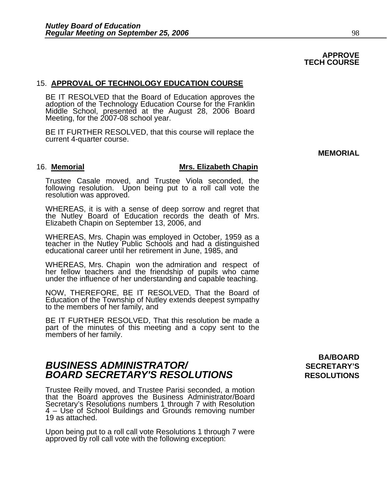### **APPROVE TECH COURSE**

### 15. **APPROVAL OF TECHNOLOGY EDUCATION COURSE**

BE IT RESOLVED that the Board of Education approves the adoption of the Technology Education Course for the Franklin Middle School, presented at the August 28, 2006 Board Meeting, for the 2007-08 school year.

BE IT FURTHER RESOLVED, that this course will replace the current 4-quarter course.

**MEMORIAL** 

### 16. **Memorial Mrs. Elizabeth Chapin**

Trustee Casale moved, and Trustee Viola seconded, the following resolution. Upon being put to a roll call vote the resolution was approved.

WHEREAS, it is with a sense of deep sorrow and regret that the Nutley Board of Education records the death of Mrs. Elizabeth Chapin on September 13, 2006, and

WHEREAS, Mrs. Chapin was employed in October, 1959 as a teacher in the Nutley Public Schools and had a distinguished educational career until her retirement in June, 1985, and

WHEREAS, Mrs. Chapin won the admiration and respect of her fellow teachers and the friendship of pupils who came under the influence of her understanding and capable teaching.

NOW, THEREFORE, BE IT RESOLVED, That the Board of Education of the Township of Nutley extends deepest sympathy to the members of her family, and

BE IT FURTHER RESOLVED, That this resolution be made a part of the minutes of this meeting and a copy sent to the members of her family.

## **BUSINESS ADMINISTRATOR/** *BUSINESS ADMINISTRATOR/* **BOARD SECRETARY'S RESOLUTIONS** RESOLUTIONS

Trustee Reilly moved, and Trustee Parisi seconded, a motion that the Board approves the Business Administrator/Board Secretary's Resolutions numbers 1 through 7 with Resolution 4 – Use of School Buildings and Grounds removing number 19 as attached.

Upon being put to a roll call vote Resolutions 1 through 7 were approved by roll call vote with the following exception:

# **BA/BOARD**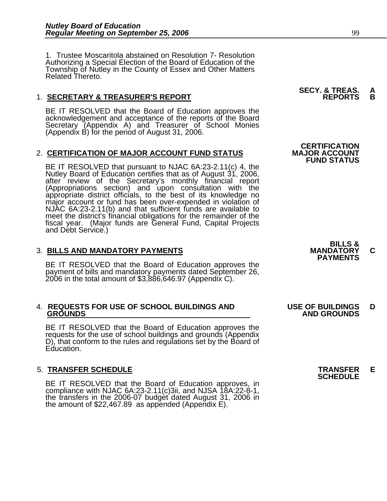1. Trustee Moscaritola abstained on Resolution 7- Resolution Authorizing a Special Election of the Board of Education of the Township of Nutley in the County of Essex and Other Matters<br>Related Thereto.

### 1. **SECRETARY & TREASURER'S REPORT**

BE IT RESOLVED that the Board of Education approves the acknowledgement and acceptance of the reports of the Board Secretary (Appendix A) and Treasurer of School Monies (Appendix B) for the period of August 31, 2006.

### 2. **CERTIFICATION OF MAJOR ACCOUNT FUND STATUS**

BE IT RESOLVED that pursuant to NJAC 6A:23-2.11(c) 4, the<br>Nutley Board of Education certifies that as of August 31, 2006,<br>after review of the Secretary's monthly financial report<br>(Appropriations section) and upon consultat meet the district's financial obligations for the remainder of the fiscal year. (Major funds are General Fund, Capital Projects and Debt Service.)

3. BILLS AND MANDATORY PAYMENTS<br>
BE IT RESOLVED that the Board of Education approves the **PAYMENTS** payment of bills and mandatory payments dated September 26, 2006 in the total amount of \$3,886,646.97 (Appendix C).

# 4. **REQUESTS FOR USE OF SCHOOL BUILDINGS AND USE OF BUILDINGS D**

BE IT RESOLVED that the Board of Education approves the requests for the use of school buildings and grounds (Appendix D), that conform to the rules and regulations set by the Board of Education.

5. **TRANSFER SCHEDULE**<br>BE IT RESOLVED that the Board of Education approves, in **SCHEDULE** compliance with NJAC 6A:23-2.11(c)3ii, and NJSA 18A:22-8-1,<br>the transfers in the 2006-07 budget dated August 31, 2006 in<br>the amount of \$22,467.89 as appended (Appendix E).

**SECY. & TREAS. A** 

**CERTIFICATION<br>MAJOR ACCOUNT FUND STATUS** 



 **GROUNDS AND GROUNDS**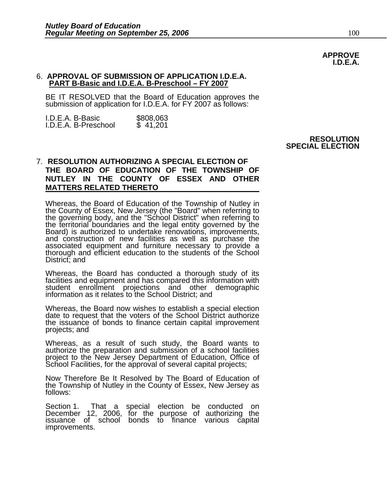### 6. **APPROVAL OF SUBMISSION OF APPLICATION I.D.E.A. PART B-Basic and I.D.E.A. B-Preschool – FY 2007**

BE IT RESOLVED that the Board of Education approves the submission of application for I.D.E.A. for FY 2007 as follows:

| I.D.E.A. B-Basic     | \$808,063 |
|----------------------|-----------|
| I.D.E.A. B-Preschool | \$41,201  |

### **RESOLUTION SPECIAL ELECTION**

### 7. **RESOLUTION AUTHORIZING A SPECIAL ELECTION OF THE BOARD OF EDUCATION OF THE TOWNSHIP OF NUTLEY IN THE COUNTY OF ESSEX AND OTHER MATTERS RELATED THERETO**

Whereas, the Board of Education of the Township of Nutley in the County of Essex, New Jersey (the "Board" when referring to<br>the governing body, and the "School District" when referring to the territorial boundaries and the legal entity governed by the Board) is authorized to undertake renovations, improvements, and construction of new facilities as well as purchase the associated equipment and furniture necessary to provide a thorough and efficient education to the students of the School District; and

Whereas, the Board has conducted a thorough study of its facilities and equipment and has compared this information with student enrollment projections and other demographic information as it relates to the School District; and

Whereas, the Board now wishes to establish a special election date to request that the voters of the School District authorize the issuance of bonds to finance certain capital improvement projects; and

Whereas, as a result of such study, the Board wants to authorize the preparation and submission of a school facilities project to the New Jersey Department of Education, Office of School Facilities, for the approval of several capital projects;

Now Therefore Be It Resolved by The Board of Education of the Township of Nutley in the County of Essex, New Jersey as follows:

Section 1. That a special election be conducted on December 12, 2006, for the purpose of authorizing the<br>issuance of school bonds to finance various capital improvements.

**APPROVE I.D.E.A.**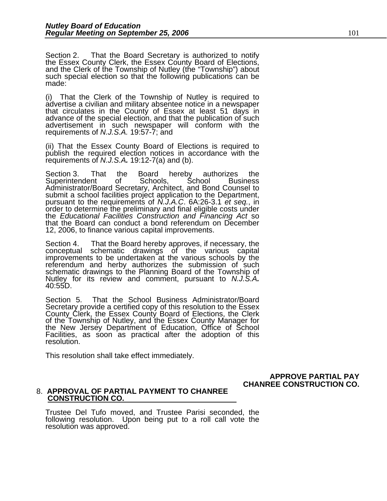Section 2. That the Board Secretary is authorized to notify the Essex County Clerk, the Essex County Board of Elections, and the Clerk of the Township of Nutley (the "Township") about such special election so that the following publications can be made:

(i) That the Clerk of the Township of Nutley is required to advertise a civilian and military absentee notice in a newspaper that circulates in the County of Essex at least 51 days in advance of the special election, and that the publication of such advertisement in such newspaper will conform with the requirements of *N.J.S.A.* 19:57-7; and

(ii) That the Essex County Board of Elections is required to publish the required election notices in accordance with the requirements of *N.J.S.A.* 19:12-7(a) and (b).

Section 3. That the Board hereby authorizes the Superintendent of Schools, School Business Administrator/Board Secretary, Architect, and Bond Counsel to submit a school facilities project application to the Department, pursuant to the requirements of *N.J.A.C.* 6A:26-3.1 *et seq.*, in order to determine the preliminary and final eligible costs under the *Educational Facilities Construction and Financing Act* so that the Board can conduct a bond referendum on December 12, 2006, to finance various capital improvements.

Section 4. That the Board hereby approves, if necessary, the conceptual schematic drawings of the various capital improvements to be undertaken at the various schools by the referendum and herby authorizes the submission of such schematic drawings to the Planning Board of the Township of Nutley for its review and comment, pursuant to *N.J.S.A.* 40:55D.

Section 5. That the School Business Administrator/Board Secretary provide a certified copy of this resolution to the Essex County Clerk, the Essex County Board of Elections, the Clerk of the Township of Nutley, and the Essex County Manager for<br>the New Jersey Department of Education, Office of School the New Jersey Department of Education, Office of School Facilities, as soon as practical after the adoption of this resolution.

This resolution shall take effect immediately.

### **APPROVE PARTIAL PAY CHANREE CONSTRUCTION CO.**

### 8. **APPROVAL OF PARTIAL PAYMENT TO CHANREE CONSTRUCTION CO.**

Trustee Del Tufo moved, and Trustee Parisi seconded, the following resolution. Upon being put to a roll call vote the resolution was approved.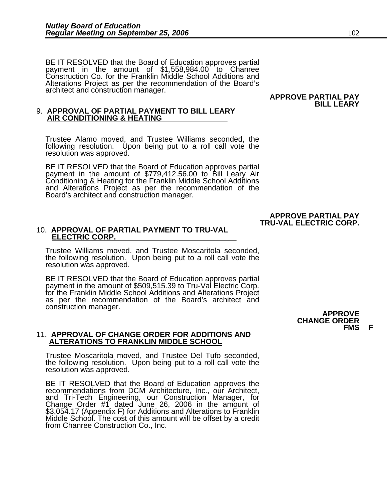BE IT RESOLVED that the Board of Education approves partial payment in the amount of \$1,558,984.00 to Chanree Construction Co. for the Franklin Middle School Additions and Alterations Project as per the recommendation of the Board's architect and construction manager.

# 9. **APPROVAL OF PARTIAL PAYMENT TO BILL LEARY AIR CONDITIONING & HEATING**

Trustee Alamo moved, and Trustee Williams seconded, the following resolution. Upon being put to a roll call vote the resolution was approved.

BE IT RESOLVED that the Board of Education approves partial payment in the amount of \$779,412.56.00 to Bill Leary Air<br>Conditioning & Heating for the Franklin Middle School Additions<br>and Alterations Project as per the recommendation of the Board's architect and construction manager.

### **APPROVE PARTIAL PAY TRU-VAL ELECTRIC CORP.**

### 10. **APPROVAL OF PARTIAL PAYMENT TO TRU-VAL ELECTRIC CORP.**

Trustee Williams moved, and Trustee Moscaritola seconded, the following resolution. Upon being put to a roll call vote the resolution was approved.

BE IT RESOLVED that the Board of Education approves partial payment in the amount of \$509,515.39 to Tru-Val Electric Corp. for the Franklin Middle School Additions and Alterations Project<br>as per the recommendation of the Board's architect and construction manager. **APPROVE**

### 11. **APPROVAL OF CHANGE ORDER FOR ADDITIONS AND ALTERATIONS TO FRANKLIN MIDDLE SCHOOL**

Trustee Moscaritola moved, and Trustee Del Tufo seconded, the following resolution. Upon being put to a roll call vote the resolution was approved.

BE IT RESOLVED that the Board of Education approves the recommendations from DCM Architecture, Inc., our Architect, and Tri-Tech Engineering, our Construction Manager, for<br>Change Order #1 dated June 26, 2006 in the amount of \$3,054.17 (Appendix F) for Additions and Alterations to Franklin Middle School. The cost of this amount will be offset by a credit from Chanree Construction Co., Inc.

 **APPROVE PARTIAL PAY BILL LEARY** 

## **CHANGE ORDER FMS F**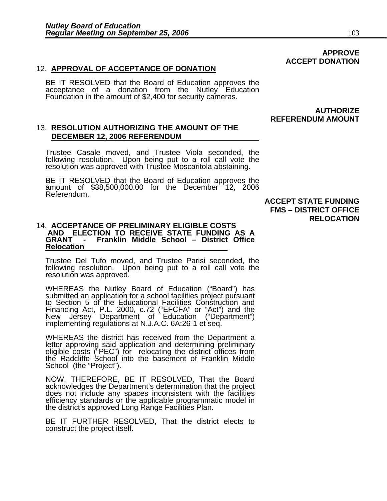### 12. **APPROVAL OF ACCEPTANCE OF DONATION**

BE IT RESOLVED that the Board of Education approves the acceptance of a donation from the Nutley Education Foundation in the amount of \$2,400 for security cameras.

### **AUTHORIZE REFERENDUM AMOUNT**

 **ACCEPT DONATION** 

### 13. **RESOLUTION AUTHORIZING THE AMOUNT OF THE DECEMBER 12, 2006 REFERENDUM**

Trustee Casale moved, and Trustee Viola seconded, the resolution was approved with Trustee Moscaritola abstaining.

BE IT RESOLVED that the Board of Education approves the amount of \$38,500,000.00 for the December 12, 2006 Referendum.

 **ACCEPT STATE FUNDING FMS – DISTRICT OFFICE RELOCATION** 

### 14. **ACCEPTANCE OF PRELIMINARY ELIGIBLE COSTS AND ELECTION TO RECEIVE STATE FUNDING AS A GRANT - Franklin Middle School – District Office Relocation**

Trustee Del Tufo moved, and Trustee Parisi seconded, the following resolution. Upon being put to a roll call vote the resolution was approved.

WHEREAS the Nutley Board of Education ("Board") has submitted an application for a school facilities project pursuant to Section 5 of the Educational Facilities Construction and Financing Act, P.L. 2000, c.72 ("EFCFA" or "Act") and the<br>New Jersey Department of Education ("Department") implementing regulations at N.J.A.C. 6A:26-1 et seq.

WHEREAS the district has received from the Department a letter approving said application and determining preliminary eligible costs ("PEC") for relocating the district offices from the Radcliffe School into the basement o School (the "Project").

NOW, THEREFORE, BE IT RESOLVED, That the Board does not include any spaces inconsistent with the facilities efficiency standards or the applicable programmatic model in the district's approved Long Range Facilities Plan.

BE IT FURTHER RESOLVED, That the district elects to construct the project itself.

**APPROVE**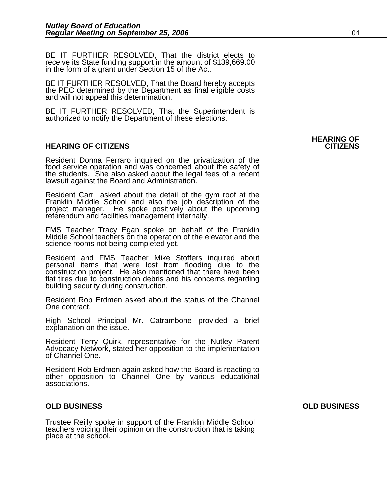BE IT FURTHER RESOLVED, That the district elects to receive its State funding support in the amount of \$139,669.00 in the form of a grant under Section 15 of the Act.

BE IT FURTHER RESOLVED, That the Board hereby accepts the PEC determined by the Department as final eligible costs and will not appeal this determination.

BE IT FURTHER RESOLVED, That the Superintendent is authorized to notify the Department of these elections.

### **HEARING OF CITIZENS CITIZENS**

Resident Donna Ferraro inquired on the privatization of the food service operation and was concerned about the safety of the students. <sup>'</sup>She also asked about the legal fees of a recent<br>lawsuit against the Board and Administration.

Resident Carr asked about the detail of the gym roof at the project manager. He spoke positively about the upcoming referendum and facilities management internally.

FMS Teacher Tracy Egan spoke on behalf of the Franklin Middle School teachers on the operation of the elevator and the science rooms not being completed yet.

Resident and FMS Teacher Mike Stoffers inquired about personal items that were lost from flooding due to the construction project. He also mentioned that there have been flat tires due to construction debris and his concerns regarding building security during construction.

Resident Rob Erdmen asked about the status of the Channel One contract.

High School Principal Mr. Catrambone provided a brief explanation on the issue.

Resident Terry Quirk, representative for the Nutley Parent<br>Advocacy Network, stated her opposition to the implementation<br>of Channel One.

Resident Rob Erdmen again asked how the Board is reacting to other opposition to Channel One by various educational associations.

### **OLD BUSINESS OLD BUSINESS**

Trustee Reilly spoke in support of the Franklin Middle School teachers voicing their opinion on the construction that is taking place at the school.

# **HEARING OF**